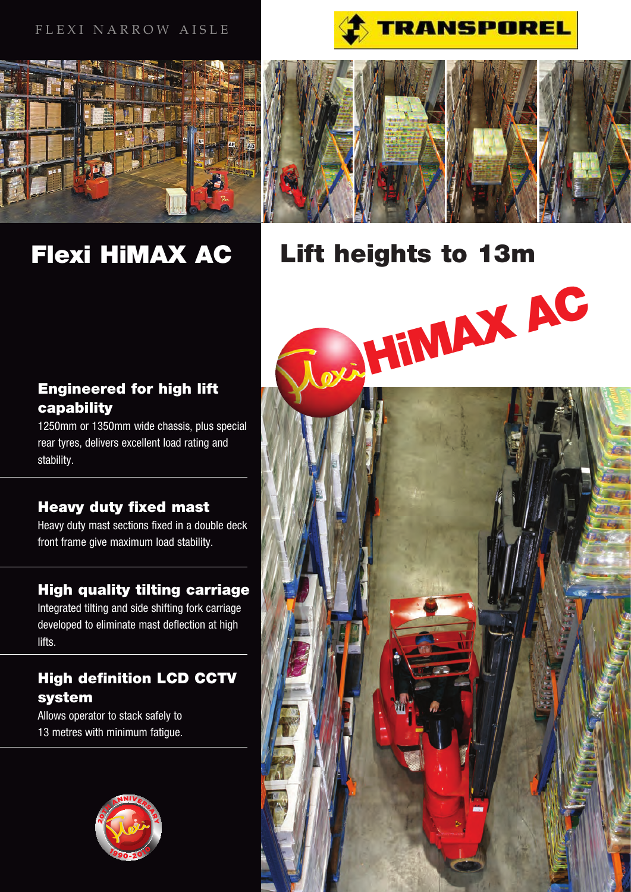### FLEXI NARROW AISLE







# Flexi HiMAX AC

# Lift heights to 13m



# High definition LCD CCTV system

Allows operator to stack safely to 13 metres with minimum fatigue.

stability.

lifts.